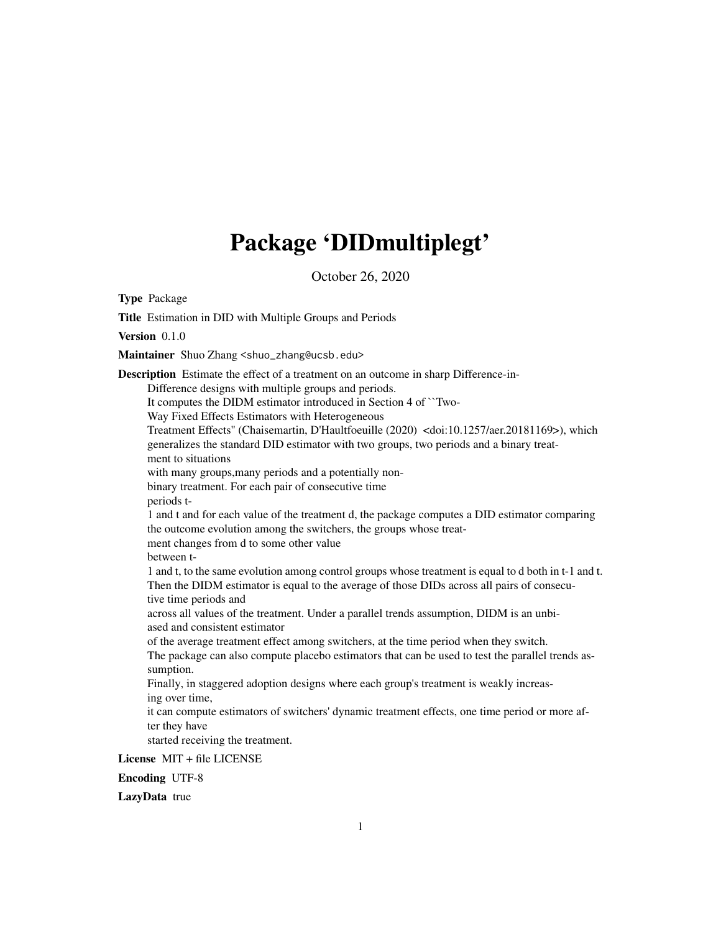# Package 'DIDmultiplegt'

October 26, 2020

Type Package

Title Estimation in DID with Multiple Groups and Periods

Version 0.1.0

Maintainer Shuo Zhang <shuo\_zhang@ucsb.edu>

Description Estimate the effect of a treatment on an outcome in sharp Difference-in-Difference designs with multiple groups and periods. It computes the DIDM estimator introduced in Section 4 of ``Two-Way Fixed Effects Estimators with Heterogeneous Treatment Effects'' (Chaisemartin, D'Haultfoeuille (2020) <doi:10.1257/aer.20181169>), which generalizes the standard DID estimator with two groups, two periods and a binary treatment to situations with many groups,many periods and a potentially nonbinary treatment. For each pair of consecutive time periods t-1 and t and for each value of the treatment d, the package computes a DID estimator comparing the outcome evolution among the switchers, the groups whose treatment changes from d to some other value between t-1 and t, to the same evolution among control groups whose treatment is equal to d both in t-1 and t. Then the DIDM estimator is equal to the average of those DIDs across all pairs of consecutive time periods and across all values of the treatment. Under a parallel trends assumption, DIDM is an unbiased and consistent estimator of the average treatment effect among switchers, at the time period when they switch. The package can also compute placebo estimators that can be used to test the parallel trends assumption. Finally, in staggered adoption designs where each group's treatment is weakly increasing over time, it can compute estimators of switchers' dynamic treatment effects, one time period or more after they have started receiving the treatment. License MIT + file LICENSE

Encoding UTF-8

LazyData true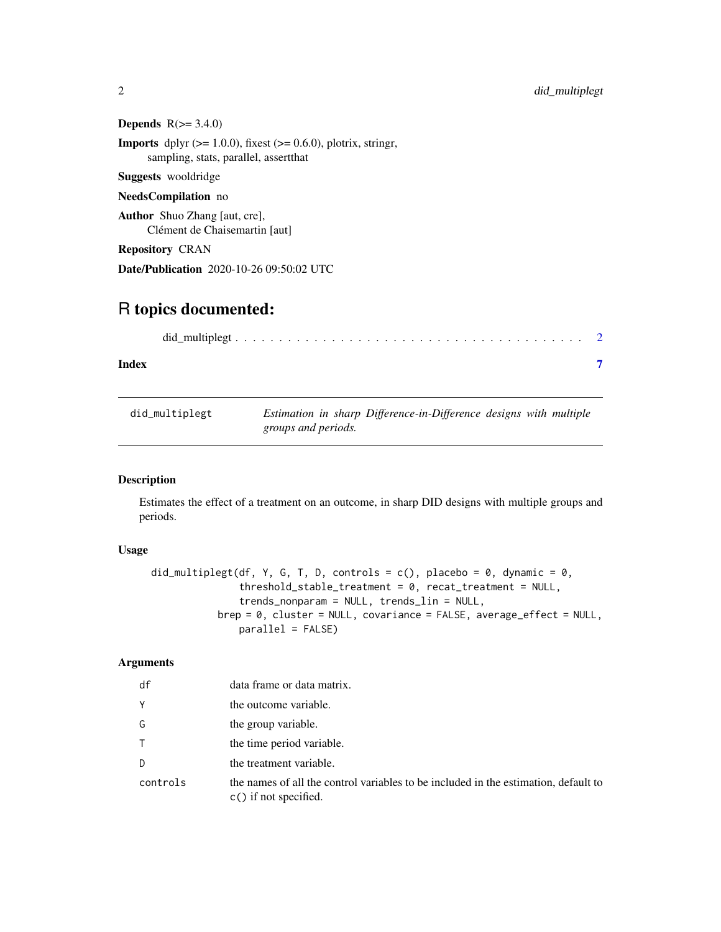Depends  $R(>= 3.4.0)$ 

**Imports** dplyr  $(>= 1.0.0)$ , fixest  $(>= 0.6.0)$ , plotrix, stringr, sampling, stats, parallel, assertthat

Suggests wooldridge

#### NeedsCompilation no

Author Shuo Zhang [aut, cre], Clément de Chaisemartin [aut]

Repository CRAN

Date/Publication 2020-10-26 09:50:02 UTC

# R topics documented:

| Index |  |
|-------|--|

| did_multiplegt |                     | Estimation in sharp Difference-in-Difference designs with multiple |  |  |
|----------------|---------------------|--------------------------------------------------------------------|--|--|
|                | groups and periods. |                                                                    |  |  |

# Description

Estimates the effect of a treatment on an outcome, in sharp DID designs with multiple groups and periods.

### Usage

```
did_multiplegt(df, Y, G, T, D, controls = c(), placebo = 0, dynamic = 0,
               threshold_stable_treatment = 0, recat_treatment = NULL,
               trends_nonparam = NULL, trends_lin = NULL,
           brep = 0, cluster = NULL, covariance = FALSE, average_effect = NULL,
               parallel = FALSE)
```
# Arguments

| df       | data frame or data matrix.                                                                                     |
|----------|----------------------------------------------------------------------------------------------------------------|
| Y        | the outcome variable.                                                                                          |
| G        | the group variable.                                                                                            |
| T.       | the time period variable.                                                                                      |
| D        | the treatment variable.                                                                                        |
| controls | the names of all the control variables to be included in the estimation, default to<br>$c()$ if not specified. |

<span id="page-1-0"></span>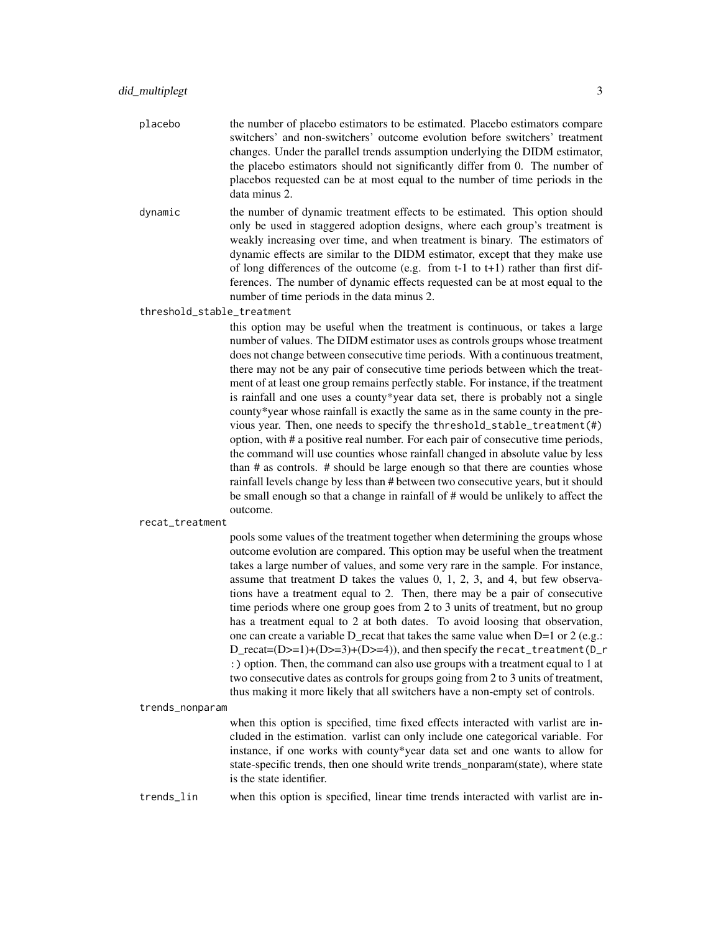- placebo the number of placebo estimators to be estimated. Placebo estimators compare switchers' and non-switchers' outcome evolution before switchers' treatment changes. Under the parallel trends assumption underlying the DIDM estimator, the placebo estimators should not significantly differ from 0. The number of placebos requested can be at most equal to the number of time periods in the data minus 2.
- dynamic the number of dynamic treatment effects to be estimated. This option should only be used in staggered adoption designs, where each group's treatment is weakly increasing over time, and when treatment is binary. The estimators of dynamic effects are similar to the DIDM estimator, except that they make use of long differences of the outcome (e.g. from t-1 to t+1) rather than first differences. The number of dynamic effects requested can be at most equal to the number of time periods in the data minus 2.

threshold\_stable\_treatment

this option may be useful when the treatment is continuous, or takes a large number of values. The DIDM estimator uses as controls groups whose treatment does not change between consecutive time periods. With a continuous treatment, there may not be any pair of consecutive time periods between which the treatment of at least one group remains perfectly stable. For instance, if the treatment is rainfall and one uses a county\*year data set, there is probably not a single county\*year whose rainfall is exactly the same as in the same county in the previous year. Then, one needs to specify the threshold\_stable\_treatment(#) option, with # a positive real number. For each pair of consecutive time periods, the command will use counties whose rainfall changed in absolute value by less than # as controls. # should be large enough so that there are counties whose rainfall levels change by less than # between two consecutive years, but it should be small enough so that a change in rainfall of # would be unlikely to affect the outcome.

recat\_treatment

pools some values of the treatment together when determining the groups whose outcome evolution are compared. This option may be useful when the treatment takes a large number of values, and some very rare in the sample. For instance, assume that treatment D takes the values 0, 1, 2, 3, and 4, but few observations have a treatment equal to 2. Then, there may be a pair of consecutive time periods where one group goes from 2 to 3 units of treatment, but no group has a treatment equal to 2 at both dates. To avoid loosing that observation, one can create a variable D\_recat that takes the same value when D=1 or 2 (e.g.: D\_recat=(D>=1)+(D>=3)+(D>=4)), and then specify the recat\_treatment(D\_r :) option. Then, the command can also use groups with a treatment equal to 1 at two consecutive dates as controls for groups going from 2 to 3 units of treatment, thus making it more likely that all switchers have a non-empty set of controls.

#### trends\_nonparam

when this option is specified, time fixed effects interacted with varlist are included in the estimation. varlist can only include one categorical variable. For instance, if one works with county\*year data set and one wants to allow for state-specific trends, then one should write trends\_nonparam(state), where state is the state identifier.

trends\_lin when this option is specified, linear time trends interacted with varlist are in-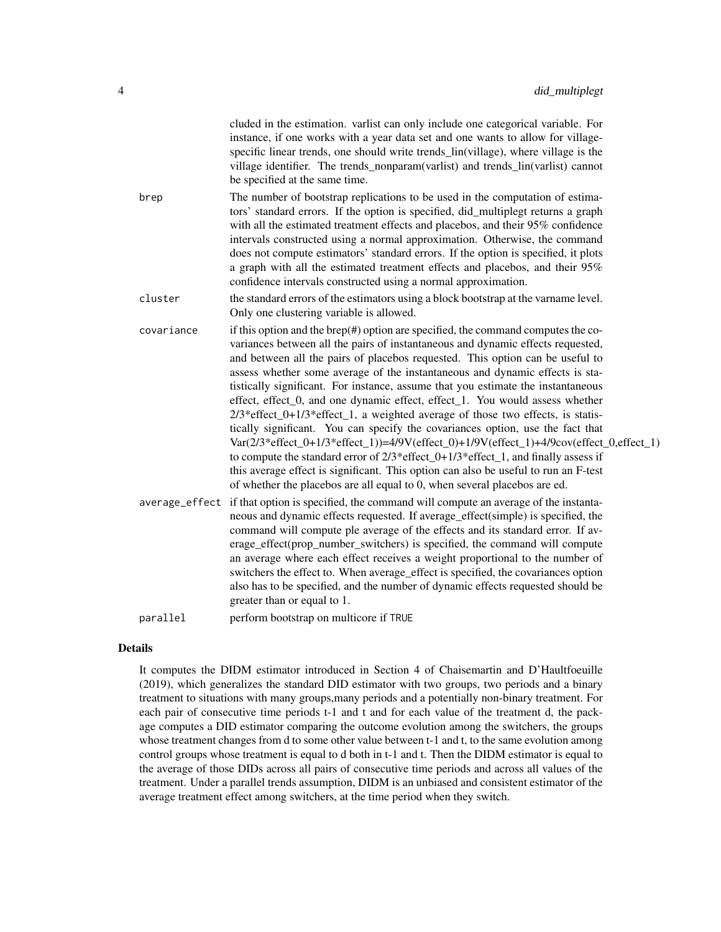|                | cluded in the estimation. varlist can only include one categorical variable. For<br>instance, if one works with a year data set and one wants to allow for village-<br>specific linear trends, one should write trends_lin(village), where village is the<br>village identifier. The trends_nonparam(varlist) and trends_lin(varlist) cannot<br>be specified at the same time.                                                                                                                                                                                                                                                                                                                                                                                                                                                                                                                                                                                                                                                               |
|----------------|----------------------------------------------------------------------------------------------------------------------------------------------------------------------------------------------------------------------------------------------------------------------------------------------------------------------------------------------------------------------------------------------------------------------------------------------------------------------------------------------------------------------------------------------------------------------------------------------------------------------------------------------------------------------------------------------------------------------------------------------------------------------------------------------------------------------------------------------------------------------------------------------------------------------------------------------------------------------------------------------------------------------------------------------|
| brep           | The number of bootstrap replications to be used in the computation of estima-<br>tors' standard errors. If the option is specified, did_multiplegt returns a graph<br>with all the estimated treatment effects and placebos, and their 95% confidence<br>intervals constructed using a normal approximation. Otherwise, the command<br>does not compute estimators' standard errors. If the option is specified, it plots<br>a graph with all the estimated treatment effects and placebos, and their 95%<br>confidence intervals constructed using a normal approximation.                                                                                                                                                                                                                                                                                                                                                                                                                                                                  |
| cluster        | the standard errors of the estimators using a block bootstrap at the varname level.<br>Only one clustering variable is allowed.                                                                                                                                                                                                                                                                                                                                                                                                                                                                                                                                                                                                                                                                                                                                                                                                                                                                                                              |
| covariance     | if this option and the brep $(\#)$ option are specified, the command computes the co-<br>variances between all the pairs of instantaneous and dynamic effects requested,<br>and between all the pairs of placebos requested. This option can be useful to<br>assess whether some average of the instantaneous and dynamic effects is sta-<br>tistically significant. For instance, assume that you estimate the instantaneous<br>effect, effect_0, and one dynamic effect, effect_1. You would assess whether<br>$2/3*$ effect_0+1/3* effect_1, a weighted average of those two effects, is statis-<br>tically significant. You can specify the covariances option, use the fact that<br>Var(2/3*effect_0+1/3*effect_1))=4/9V(effect_0)+1/9V(effect_1)+4/9cov(effect_0,effect_1)<br>to compute the standard error of $2/3$ *effect_0+1/3*effect_1, and finally assess if<br>this average effect is significant. This option can also be useful to run an F-test<br>of whether the placebos are all equal to 0, when several placebos are ed. |
| average_effect | if that option is specified, the command will compute an average of the instanta-<br>neous and dynamic effects requested. If average_effect(simple) is specified, the<br>command will compute ple average of the effects and its standard error. If av-<br>erage_effect(prop_number_switchers) is specified, the command will compute<br>an average where each effect receives a weight proportional to the number of<br>switchers the effect to. When average_effect is specified, the covariances option<br>also has to be specified, and the number of dynamic effects requested should be<br>greater than or equal to 1.                                                                                                                                                                                                                                                                                                                                                                                                                 |
| parallel       | perform bootstrap on multicore if TRUE                                                                                                                                                                                                                                                                                                                                                                                                                                                                                                                                                                                                                                                                                                                                                                                                                                                                                                                                                                                                       |
|                |                                                                                                                                                                                                                                                                                                                                                                                                                                                                                                                                                                                                                                                                                                                                                                                                                                                                                                                                                                                                                                              |

# Details

It computes the DIDM estimator introduced in Section 4 of Chaisemartin and D'Haultfoeuille (2019), which generalizes the standard DID estimator with two groups, two periods and a binary treatment to situations with many groups,many periods and a potentially non-binary treatment. For each pair of consecutive time periods t-1 and t and for each value of the treatment d, the package computes a DID estimator comparing the outcome evolution among the switchers, the groups whose treatment changes from d to some other value between t-1 and t, to the same evolution among control groups whose treatment is equal to d both in t-1 and t. Then the DIDM estimator is equal to the average of those DIDs across all pairs of consecutive time periods and across all values of the treatment. Under a parallel trends assumption, DIDM is an unbiased and consistent estimator of the average treatment effect among switchers, at the time period when they switch.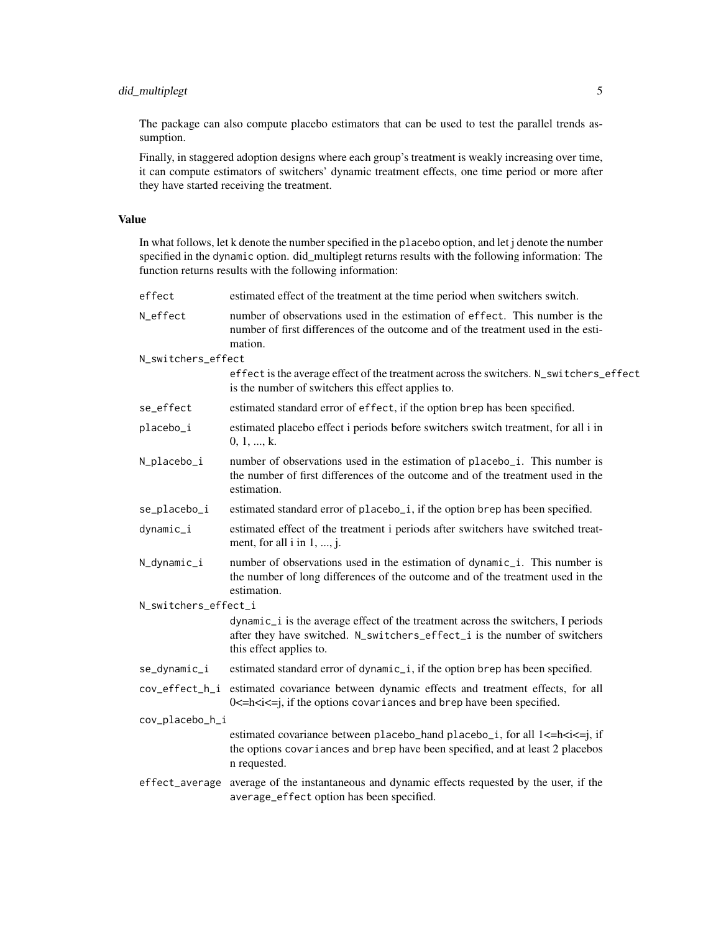### did\_multiplegt 5

The package can also compute placebo estimators that can be used to test the parallel trends assumption.

Finally, in staggered adoption designs where each group's treatment is weakly increasing over time, it can compute estimators of switchers' dynamic treatment effects, one time period or more after they have started receiving the treatment.

#### Value

In what follows, let k denote the number specified in the placebo option, and let j denote the number specified in the dynamic option. did\_multiplegt returns results with the following information: The function returns results with the following information:

| effect               | estimated effect of the treatment at the time period when switchers switch.                                                                                                               |
|----------------------|-------------------------------------------------------------------------------------------------------------------------------------------------------------------------------------------|
| N_effect             | number of observations used in the estimation of effect. This number is the<br>number of first differences of the outcome and of the treatment used in the esti-<br>mation.               |
| N_switchers_effect   |                                                                                                                                                                                           |
|                      | effect is the average effect of the treatment across the switchers. N_switchers_effect<br>is the number of switchers this effect applies to.                                              |
| se_effect            | estimated standard error of effect, if the option brep has been specified.                                                                                                                |
| placebo_i            | estimated placebo effect i periods before switchers switch treatment, for all i in<br>0, 1, , k.                                                                                          |
| N_placebo_i          | number of observations used in the estimation of placebo <sub>-</sub> i. This number is<br>the number of first differences of the outcome and of the treatment used in the<br>estimation. |
| se_placebo_i         | estimated standard error of placebo <sub>-i</sub> , if the option brep has been specified.                                                                                                |
| dynamic_i            | estimated effect of the treatment i periods after switchers have switched treat-<br>ment, for all $i$ in $1, , j$ .                                                                       |
| N_dynamic_i          | number of observations used in the estimation of dynamic_i. This number is<br>the number of long differences of the outcome and of the treatment used in the<br>estimation.               |
| N_switchers_effect_i |                                                                                                                                                                                           |
|                      | dynamic_i is the average effect of the treatment across the switchers, I periods<br>after they have switched. N_switchers_effect_i is the number of switchers<br>this effect applies to.  |
| se_dynamic_i         | estimated standard error of dynamic_i, if the option brep has been specified.                                                                                                             |
| cov_effect_h_i       | estimated covariance between dynamic effects and treatment effects, for all<br>$0 \le h \le i \le i$ , if the options covariances and brep have been specified.                           |
| cov_placebo_h_i      |                                                                                                                                                                                           |
|                      | estimated covariance between placebo_hand placebo_i, for all 1<=h <i<=j, if<br="">the options covariances and brep have been specified, and at least 2 placebos<br/>n requested.</i<=j,>  |
| effect_average       | average of the instantaneous and dynamic effects requested by the user, if the<br>average_effect option has been specified.                                                               |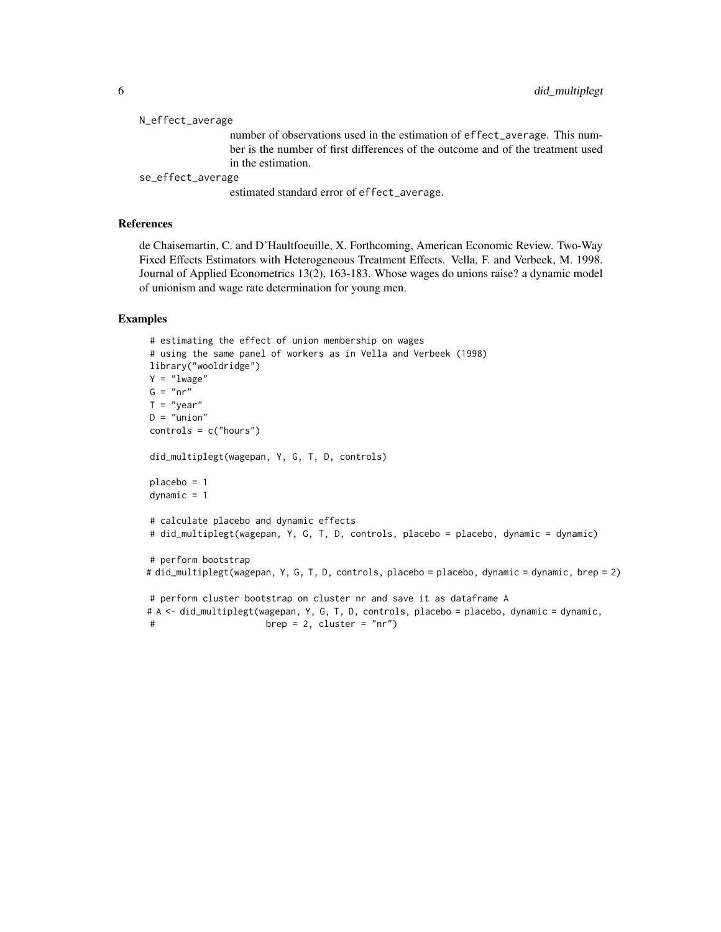| N_effect_average  |                                                                                 |
|-------------------|---------------------------------------------------------------------------------|
|                   | number of observations used in the estimation of effect_average. This num-      |
|                   | ber is the number of first differences of the outcome and of the treatment used |
|                   | in the estimation.                                                              |
| se_effect_average |                                                                                 |
|                   | estimated standard error of effect_average.                                     |
|                   |                                                                                 |

#### References

de Chaisemartin, C. and D'Haultfoeuille, X. Forthcoming, American Economic Review. Two-Way Fixed Effects Estimators with Heterogeneous Treatment Effects. Vella, F. and Verbeek, M. 1998. Journal of Applied Econometrics 13(2), 163-183. Whose wages do unions raise? a dynamic model of unionism and wage rate determination for young men.

#### Examples

```
# estimating the effect of union membership on wages
# using the same panel of workers as in Vella and Verbeek (1998)
library("wooldridge")
Y = "lwage"
G = "nr"T = "year"D = "union"controls = c("hours")
did_multiplegt(wagepan, Y, G, T, D, controls)
placebo = 1
dynamic = 1
# calculate placebo and dynamic effects
# did_multiplegt(wagepan, Y, G, T, D, controls, placebo = placebo, dynamic = dynamic)
# perform bootstrap
# did_multiplegt(wagepan, Y, G, T, D, controls, placebo = placebo, dynamic = dynamic, brep = 2)
# perform cluster bootstrap on cluster nr and save it as dataframe A
# A <- did_multiplegt(wagepan, Y, G, T, D, controls, placebo = placebo, dynamic = dynamic,
# brep = 2, cluster = "nr")
```